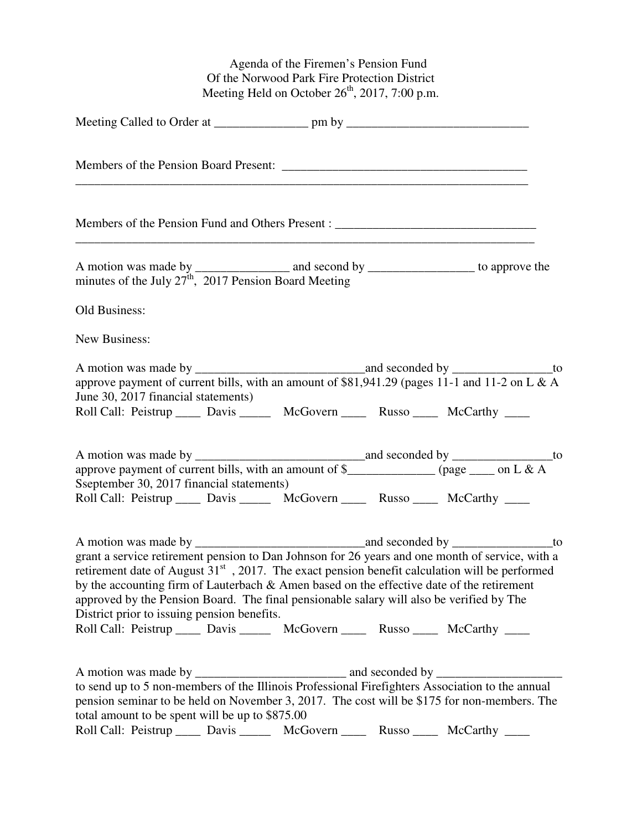Agenda of the Firemen's Pension Fund Of the Norwood Park Fire Protection District Meeting Held on October  $26<sup>th</sup>$ , 2017, 7:00 p.m.

| Members of the Pension Fund and Others Present : ________________________________                                                                                                                                                                                                                                                                                                                                                                                                                                              |
|--------------------------------------------------------------------------------------------------------------------------------------------------------------------------------------------------------------------------------------------------------------------------------------------------------------------------------------------------------------------------------------------------------------------------------------------------------------------------------------------------------------------------------|
| minutes of the July $27th$ , 2017 Pension Board Meeting                                                                                                                                                                                                                                                                                                                                                                                                                                                                        |
| Old Business:                                                                                                                                                                                                                                                                                                                                                                                                                                                                                                                  |
| New Business:                                                                                                                                                                                                                                                                                                                                                                                                                                                                                                                  |
| approve payment of current bills, with an amount of \$81,941.29 (pages 11-1 and 11-2 on L & A<br>June 30, 2017 financial statements)<br>Roll Call: Peistrup _____ Davis ______ McGovern _____ Russo _____ McCarthy ____                                                                                                                                                                                                                                                                                                        |
| Sseptember 30, 2017 financial statements)<br>Roll Call: Peistrup ______ Davis _______ McGovern _____ Russo _____ McCarthy ____                                                                                                                                                                                                                                                                                                                                                                                                 |
| grant a service retirement pension to Dan Johnson for 26 years and one month of service, with a<br>retirement date of August $31st$ , 2017. The exact pension benefit calculation will be performed<br>by the accounting firm of Lauterbach & Amen based on the effective date of the retirement<br>approved by the Pension Board. The final pensionable salary will also be verified by The<br>District prior to issuing pension benefits.<br>Roll Call: Peistrup _____ Davis ______ McGovern _____ Russo _____ McCarthy ____ |
| to send up to 5 non-members of the Illinois Professional Firefighters Association to the annual<br>pension seminar to be held on November 3, 2017. The cost will be \$175 for non-members. The<br>total amount to be spent will be up to \$875.00                                                                                                                                                                                                                                                                              |

Roll Call: Peistrup \_\_\_\_\_ Davis \_\_\_\_\_\_ McGovern \_\_\_\_ Russo \_\_\_\_ McCarthy \_\_\_\_